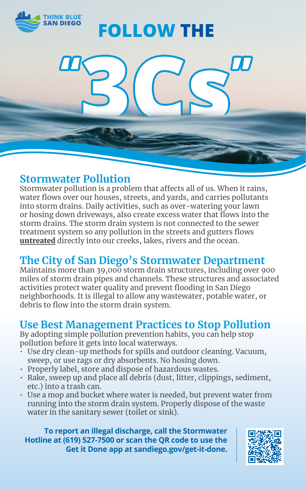

# **FOLLOW THE**

### **Stormwater Pollution**

Stormwater pollution is a problem that affects all of us. When it rains, water flows over our houses, streets, and yards, and carries pollutants into storm drains. Daily activities, such as over-watering your lawn or hosing down driveways, also create excess water that flows into the storm drains. The storm drain system is not connected to the sewer treatment system so any pollution in the streets and gutters flows untreated directly into our creeks, lakes, rivers and the ocean.

## **The City of San Diego's Stormwater Department**

Maintains more than 39,000 storm drain structures, including over 900 miles of storm drain pipes and channels. These structures and associated activities protect water quality and prevent flooding in San Diego neighborhoods. It is illegal to allow any wastewater, potable water, or debris to flow into the storm drain system.

### **Use Best Management Practices to Stop Pollution**

By adopting simple pollution prevention habits, you can help stop pollution before it gets into local waterways.

- $\cdot$  Use dry clean-up methods for spills and outdoor cleaning. Vacuum, sweep, or use rags or dry absorbents. No hosing down.
- Properly label, store and dispose of hazardous wastes.
- Rake, sweep up and place all debris (dust, litter, clippings, sediment, etc.) into a trash can.
- Use a mop and bucket where water is needed, but prevent water from running into the storm drain system. Properly dispose of the waste water in the sanitary sewer (toilet or sink).

**To report an illegal discharge, call the Stormwater Hotline at (619) 527-7500 or scan the QR code to use the Get it Done app at sandiego.gov/get-it-done.**